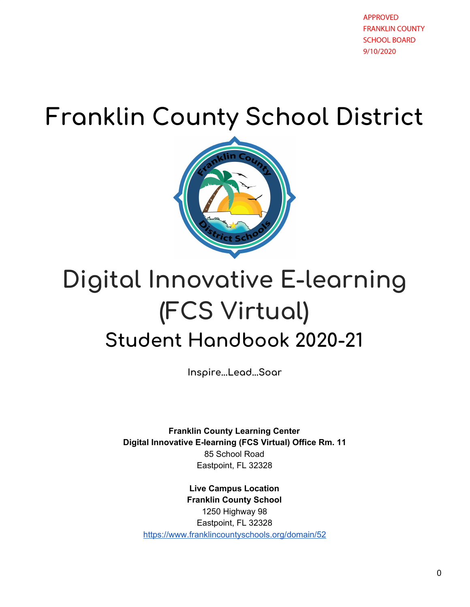APPROVED FRANKLIN COUNTY SCHOOL BOARD 9/10/2020

# **Franklin County School District**



# **Digital Innovative E-learning (FCS Virtual) Student Handbook 2020-21**

**Inspire...Lead...Soar**

**Franklin County Learning Center Digital Innovative E-learning (FCS Virtual) Office Rm. 11** 85 School Road Eastpoint, FL 32328

**Live Campus Location Franklin County School** 1250 Highway 98 Eastpoint, FL 32328 <https://www.franklincountyschools.org/domain/52>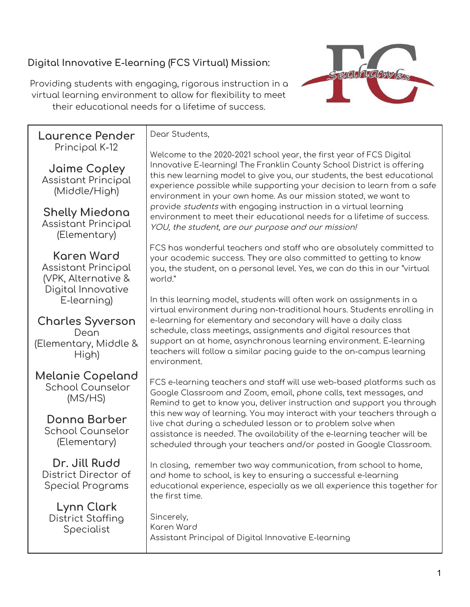### **Digital Innovative E-learning (FCS Virtual) Mission:**

Providing students with engaging, rigorous instruction in a virtual learning environment to allow for flexibility to meet their educational needs for a lifetime of success.



**Laurence Pender** Principal K-12

**Jaime Copley** Assistant Principal (Middle/High)

**Shelly Miedona** Assistant Principal (Elementary)

**Karen Ward** Assistant Principal (VPK, Alternative & Digital Innovative E-learning)

**Charles Syverson** Dean (Elementary, Middle & High)

**Melanie Copeland** School Counselor (MS/HS)

**Donna Barber** School Counselor (Elementary)

**Dr. Jill Rudd** District Director of Special Programs

**Lynn Clark** District Staffing Specialist

Dear Students,

Welcome to the 2020-2021 school year, the first year of FCS Digital Innovative E-learning! The Franklin County School District is offering this new learning model to give you, our students, the best educational experience possible while supporting your decision to learn from a safe environment in your own home. As our mission stated, we want to provide students with engaging instruction in a virtual learning environment to meet their educational needs for a lifetime of success. YOU, the student, are our purpose and our mission!

FCS has wonderful teachers and staff who are absolutely committed to your academic success. They are also committed to getting to know you, the student, on a personal level. Yes, we can do this in our "virtual world."

In this learning model, students will often work on assignments in a virtual environment during non-traditional hours. Students enrolling in e-learning for elementary and secondary will have a daily class schedule, class meetings, assignments and digital resources that support an at home, asynchronous learning environment. E-learning teachers will follow a similar pacing guide to the on-campus learning environment.

FCS e-learning teachers and staff will use web-based platforms such as Google Classroom and Zoom, email, phone calls, text messages, and Remind to get to know you, deliver instruction and support you through this new way of learning. You may interact with your teachers through a live chat during a scheduled lesson or to problem solve when assistance is needed. The availability of the e-learning teacher will be scheduled through your teachers and/or posted in Google Classroom.

In closing, remember two way communication, from school to home, and home to school, is key to ensuring a successful e-learning educational experience, especially as we all experience this together for the first time.

Sincerely, Karen Ward Assistant Principal of Digital Innovative E-learning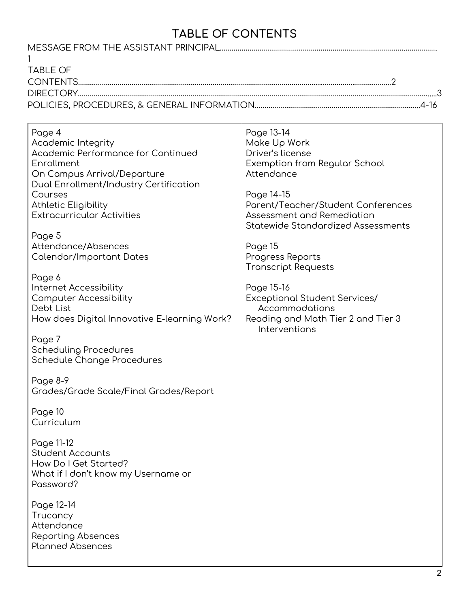# **TABLE OF CONTENTS**

| <b>TABLE OF</b>                                         |                                                    |
|---------------------------------------------------------|----------------------------------------------------|
|                                                         |                                                    |
|                                                         |                                                    |
|                                                         |                                                    |
|                                                         |                                                    |
| Page 4                                                  | Page 13-14                                         |
| <b>Academic Integrity</b>                               | Make Up Work                                       |
| Academic Performance for Continued                      | Driver's license                                   |
| Enrollment                                              | Exemption from Regular School                      |
| On Campus Arrival/Departure                             | Attendance                                         |
| Dual Enrollment/Industry Certification                  |                                                    |
| Courses                                                 | Page 14-15                                         |
| <b>Athletic Eligibility</b>                             | Parent/Teacher/Student Conferences                 |
| <b>Extracurricular Activities</b>                       | Assessment and Remediation                         |
|                                                         | <b>Statewide Standardized Assessments</b>          |
| Page 5                                                  |                                                    |
| Attendance/Absences                                     | Page 15                                            |
| Calendar/Important Dates                                | Progress Reports                                   |
|                                                         | <b>Transcript Requests</b>                         |
| Page 6                                                  |                                                    |
| Internet Accessibility<br><b>Computer Accessibility</b> | Page 15-16<br><b>Exceptional Student Services/</b> |
| Debt List                                               | Accommodations                                     |
| How does Digital Innovative E-learning Work?            | Reading and Math Tier 2 and Tier 3                 |
|                                                         | Interventions                                      |
| Page 7                                                  |                                                    |
| <b>Scheduling Procedures</b>                            |                                                    |
| Schedule Change Procedures                              |                                                    |
|                                                         |                                                    |
| Page 8-9                                                |                                                    |
| Grades/Grade Scale/Final Grades/Report                  |                                                    |
|                                                         |                                                    |
| Page 10<br>Curriculum                                   |                                                    |
|                                                         |                                                    |
| Page 11-12                                              |                                                    |
| <b>Student Accounts</b>                                 |                                                    |
| How Do I Get Started?                                   |                                                    |
| What if I don't know my Username or                     |                                                    |
| Password?                                               |                                                    |
|                                                         |                                                    |
| Page 12-14                                              |                                                    |
| Trucancy                                                |                                                    |
| Attendance                                              |                                                    |
| Reporting Absences                                      |                                                    |
| <b>Planned Absences</b>                                 |                                                    |
|                                                         |                                                    |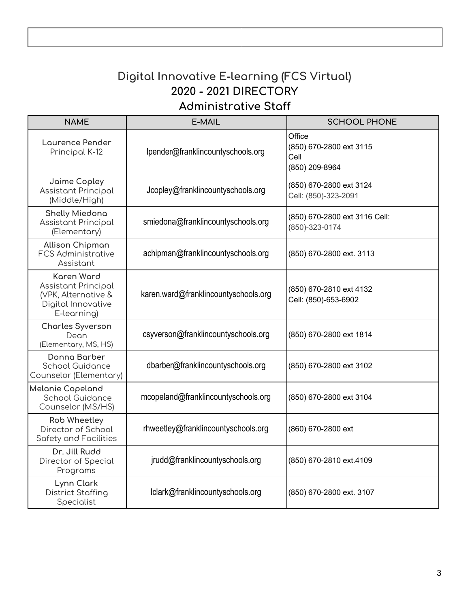# **Digital Innovative E-learning (FCS Virtual) 2020 - 2021 DIRECTORY Administrative Staff**

| <b>NAME</b>                                                                                                 | E-MAIL                               | <b>SCHOOL PHONE</b>                                         |
|-------------------------------------------------------------------------------------------------------------|--------------------------------------|-------------------------------------------------------------|
| Laurence Pender<br>Principal K-12                                                                           | lpender@franklincountyschools.org    | Office<br>(850) 670-2800 ext 3115<br>Cell<br>(850) 209-8964 |
| Jaime Copley<br><b>Assistant Principal</b><br>(Middle/High)                                                 | Jcopley@franklincountyschools.org    | (850) 670-2800 ext 3124<br>Cell: (850)-323-2091             |
| <b>Shelly Miedona</b><br><b>Assistant Principal</b><br>(Elementary)                                         | smiedona@franklincountyschools.org   | (850) 670-2800 ext 3116 Cell:<br>(850)-323-0174             |
| <b>Allison Chipman</b><br><b>FCS Administrative</b><br>Assistant                                            | achipman@franklincountyschools.org   | (850) 670-2800 ext. 3113                                    |
| <b>Karen Ward</b><br><b>Assistant Principal</b><br>(VPK, Alternative &<br>Digital Innovative<br>E-learning) | karen.ward@franklincountyschools.org | (850) 670-2810 ext 4132<br>Cell: (850)-653-6902             |
| <b>Charles Syverson</b><br>Dean<br>(Elementary, MS, HS)                                                     | csyverson@franklincountyschools.org  | (850) 670-2800 ext 1814                                     |
| Donna Barber<br>School Guidance<br>Counselor (Elementary)                                                   | dbarber@franklincountyschools.org    | (850) 670-2800 ext 3102                                     |
| Melanie Copeland<br>School Guidance<br>Counselor (MS/HS)                                                    | mcopeland@franklincountyschools.org  | (850) 670-2800 ext 3104                                     |
| <b>Rob Wheetley</b><br>Director of School<br>Safety and Facilities                                          | rhweetley@franklincountyschools.org  | (860) 670-2800 ext                                          |
| Dr. Jill Rudd<br>Director of Special<br>Programs                                                            | jrudd@franklincountyschools.org      | (850) 670-2810 ext.4109                                     |
| Lynn Clark<br><b>District Staffing</b><br>Specialist                                                        | Iclark@franklincountyschools.org     | (850) 670-2800 ext. 3107                                    |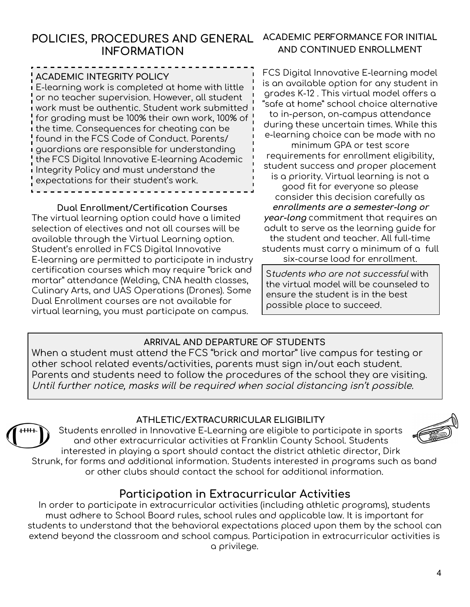### **POLICIES, PROCEDURES AND GENERAL INFORMATION**

#### **ACADEMIC INTEGRITY POLICY**

E-learning work is completed at home with little or no teacher supervision. However, all student work must be authentic. Student work submitted for grading must be 100% their own work, 100% of the time. Consequences for cheating can be found in the FCS Code of Conduct. Parents/ guardians are responsible for understanding the FCS Digital Innovative E-learning Academic Integrity Policy and must understand the expectations for their student's work.

#### **Dual Enrollment/Certification Courses**

The virtual learning option could have a limited selection of electives and not all courses will be available through the Virtual Learning option. Student's enrolled in FCS Digital Innovative E-learning are permitted to participate in industry certification courses which may require "brick and mortar" attendance (Welding, CNA health classes, Culinary Arts, and UAS Operations (Drones). Some Dual Enrollment courses are not available for virtual learning, you must participate on campus.

#### **ACADEMIC PERFORMANCE FOR INITIAL AND CONTINUED ENROLLMENT**

FCS Digital Innovative E-learning model is an available option for any student in grades K-12 . This virtual model offers a "safe at home" school choice alternative to in-person, on-campus attendance during these uncertain times. While this e-learning choice can be made with no minimum GPA or test score requirements for enrollment eligibility, student success and proper placement is a priority. Virtual learning is not a good fit for everyone so please consider this decision carefully as **enrollments are <sup>a</sup> semester-long or year-long** commitment that requires an adult to serve as the learning guide for the student and teacher. All full-time students must carry a minimum of a full six-course load for enrollment.

Students who are not successful with the virtual model will be counseled to ensure the student is in the best possible place to succeed.

#### **ARRIVAL AND DEPARTURE OF STUDENTS**

When a student must attend the FCS "brick and mortar" live campus for testing or other school related events/activities, parents must sign in/out each student. Parents and students need to follow the procedures of the school they are visiting. Until further notice, masks will be required when social distancing isn't possible.

#### **ATHLETIC/EXTRACURRICULAR ELIGIBILITY**

Students enrolled in Innovative E-Learning are eligible to participate in sports and other extracurricular activities at Franklin County School. Students interested in playing a sport should contact the district athletic director, Dirk Strunk, for forms and additional information. Students interested in programs such as band



or other clubs should contact the school for additional information.

## **Participation in Extracurricular Activities**

In order to participate in extracurricular activities (including athletic programs), students must adhere to School Board rules, school rules and applicable law. It is important for students to understand that the behavioral expectations placed upon them by the school can extend beyond the classroom and school campus. Participation in extracurricular activities is a privilege.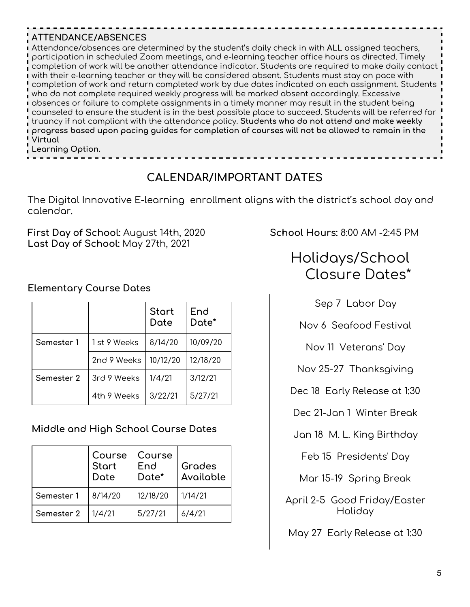#### **ATTENDANCE/ABSENCES**

Attendance/absences are determined by the student's daily check in with **ALL** assigned teachers, participation in scheduled Zoom meetings, and e-learning teacher office hours as directed. Timely completion of work will be another attendance indicator. Students are required to make daily contact with their e-learning teacher or they will be considered absent. Students must stay on pace with completion of work and return completed work by due dates indicated on each assignment. Students who do not complete required weekly progress will be marked absent accordingly. Excessive absences or failure to complete assignments in a timely manner may result in the student being counseled to ensure the student is in the best possible place to succeed. Students will be referred for truancy if not compliant with the attendance policy. **Students who do not attend and make weekly progress based upon pacing guides for completion of courses will not be allowed to remain in the Virtual**

**Learning Option.**

# **CALENDAR/IMPORTANT DATES**

The Digital Innovative E-learning enrollment aligns with the district's school day and calendar.

**First Day of School:** August 14th, 2020 **School Hours:** 8:00 AM -2:45 PM **Last Day of School:** May 27th, 2021

#### **Elementary Course Dates**

|            |             | <b>Start</b><br>Date | End<br>Date* |
|------------|-------------|----------------------|--------------|
| Semester 1 | 1st 9 Weeks | 8/14/20              | 10/09/20     |
|            | 2nd 9 Weeks | 10/12/20             | 12/18/20     |
| Semester 2 | 3rd 9 Weeks | 1/4/21               | 3/12/21      |
|            | 4th 9 Weeks | 3/22/21              | 5/27/21      |

#### **Middle and High School Course Dates**

|            | Course<br><b>Start</b><br>Date | l Course<br>End<br>Date* | Grades<br>Available |
|------------|--------------------------------|--------------------------|---------------------|
| Semester 1 | 8/14/20                        | 12/18/20                 | 1/14/21             |
| Semester 2 | 1/4/21                         | 5/27/21                  | 6/4/21              |

# Holidays/School Closure Dates\*

Sep 7 Labor Day

Nov 6 Seafood Festival

Nov 11 Veterans' Day

Nov 25-27 Thanksgiving

Dec 18 Early Release at 1:30

Dec 21-Jan 1 Winter Break

Jan 18 M. L. King Birthday

Feb 15 Presidents' Day

Mar 15-19 Spring Break

April 2-5 Good Friday/Easter Holiday

May 27 Early Release at 1:30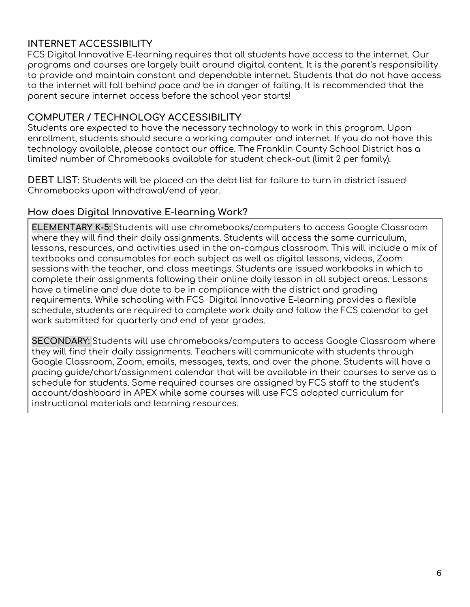#### **INTERNET ACCESSIBILITY**

FCS Digital Innovative E-learning requires that all students have access to the internet. Our programs and courses are largely built around digital content. It is the parent's responsibility to provide and maintain constant and dependable internet. Students that do not have access to the internet will fall behind pace and be in danger of failing. It is recommended that the parent secure internet access before the school year starts!

#### **COMPUTER / TECHNOLOGY ACCESSIBILITY**

Students are expected to have the necessary technology to work in this program. Upon enrollment, students should secure a working computer and internet. If you do not have this technology available, please contact our office. The Franklin County School District has a limited number of Chromebooks available for student check-out (limit 2 per family).

**DEBT LIST**: Students will be placed on the debt list for failure to turn in district issued Chromebooks upon withdrawal/end of year.

#### **How does Digital Innovative E-learning Work?**

**ELEMENTARY K-5:** Students will use chromebooks/computers to access Google Classroom where they will find their daily assignments. Students will access the same curriculum, lessons, resources, and activities used in the on-campus classroom. This will include a mix of textbooks and consumables for each subject as well as digital lessons, videos, Zoom sessions with the teacher, and class meetings. Students are issued workbooks in which to complete their assignments following their online daily lesson in all subject areas. Lessons have a timeline and due date to be in compliance with the district and grading requirements. While schooling with FCS Digital Innovative E-learning provides a flexible schedule, students are required to complete work daily and follow the FCS calendar to get work submitted for quarterly and end of year grades.

**SECONDARY:** Students will use chromebooks/computers to access Google Classroom where they will find their daily assignments. Teachers will communicate with students through Google Classroom, Zoom, emails, messages, texts, and over the phone. Students will have a pacing guide/chart/assignment calendar that will be available in their courses to serve as a schedule for students. Some required courses are assigned by FCS staff to the student's account/dashboard in APEX while some courses will use FCS adopted curriculum for instructional materials and learning resources.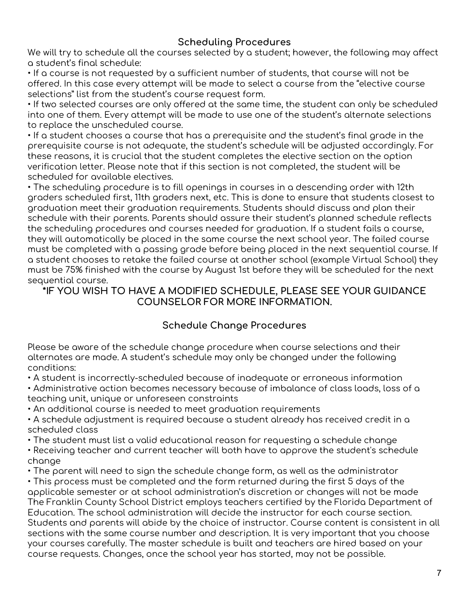#### **Scheduling Procedures**

We will try to schedule all the courses selected by a student; however, the following may affect a student's final schedule:

• If a course is not requested by a sufficient number of students, that course will not be offered. In this case every attempt will be made to select a course from the "elective course selections" list from the student's course request form.

• If two selected courses are only offered at the same time, the student can only be scheduled into one of them. Every attempt will be made to use one of the student's alternate selections to replace the unscheduled course.

• If a student chooses a course that has a prerequisite and the student's final grade in the prerequisite course is not adequate, the student's schedule will be adjusted accordingly. For these reasons, it is crucial that the student completes the elective section on the option verification letter. Please note that if this section is not completed, the student will be scheduled for available electives.

• The scheduling procedure is to fill openings in courses in a descending order with 12th graders scheduled first, 11th graders next, etc. This is done to ensure that students closest to graduation meet their graduation requirements. Students should discuss and plan their schedule with their parents. Parents should assure their student's planned schedule reflects the scheduling procedures and courses needed for graduation. If a student fails a course, they will automatically be placed in the same course the next school year. The failed course must be completed with a passing grade before being placed in the next sequential course. If a student chooses to retake the failed course at another school (example Virtual School) they must be 75% finished with the course by August 1st before they will be scheduled for the next sequential course.

#### **\*IF YOU WISH TO HAVE A MODIFIED SCHEDULE, PLEASE SEE YOUR GUIDANCE COUNSELOR FOR MORE INFORMATION.**

#### **Schedule Change Procedures**

Please be aware of the schedule change procedure when course selections and their alternates are made. A student's schedule may only be changed under the following conditions:

• A student is incorrectly-scheduled because of inadequate or erroneous information

• Administrative action becomes necessary because of imbalance of class loads, loss of a teaching unit, unique or unforeseen constraints

• An additional course is needed to meet graduation requirements

• A schedule adjustment is required because a student already has received credit in a scheduled class

• The student must list a valid educational reason for requesting a schedule change

• Receiving teacher and current teacher will both have to approve the student's schedule change

• The parent will need to sign the schedule change form, as well as the administrator

• This process must be completed and the form returned during the first 5 days of the applicable semester or at school administration's discretion or changes will not be made The Franklin County School District employs teachers certified by the Florida Department of Education. The school administration will decide the instructor for each course section. Students and parents will abide by the choice of instructor. Course content is consistent in all sections with the same course number and description. It is very important that you choose your courses carefully. The master schedule is built and teachers are hired based on your course requests. Changes, once the school year has started, may not be possible.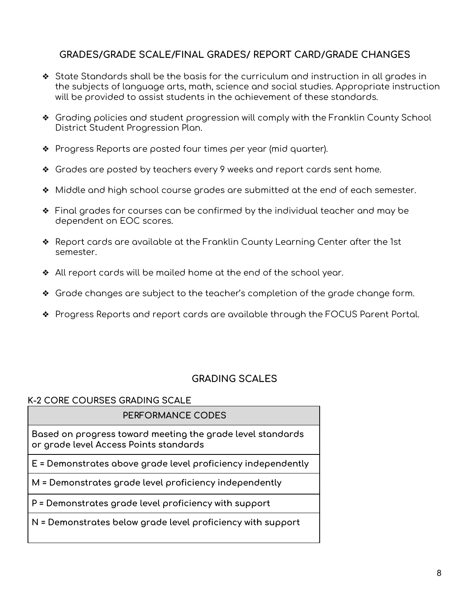#### **GRADES/GRADE SCALE/FINAL GRADES/ REPORT CARD/GRADE CHANGES**

- ❖ State Standards shall be the basis for the curriculum and instruction in all grades in the subjects of language arts, math, science and social studies. Appropriate instruction will be provided to assist students in the achievement of these standards.
- ❖ Grading policies and student progression will comply with the Franklin County School District Student Progression Plan.
- ❖ Progress Reports are posted four times per year (mid quarter).
- ❖ Grades are posted by teachers every 9 weeks and report cards sent home.
- ❖ Middle and high school course grades are submitted at the end of each semester.
- ❖ Final grades for courses can be confirmed by the individual teacher and may be dependent on EOC scores.
- ❖ Report cards are available at the Franklin County Learning Center after the 1st semester.
- ❖ All report cards will be mailed home at the end of the school year.
- ❖ Grade changes are subject to the teacher's completion of the grade change form.
- ❖ Progress Reports and report cards are available through the FOCUS Parent Portal.

#### **GRADING SCALES**

#### **K-2 CORE COURSES GRADING SCALE**

#### **PERFORMANCE CODES**

**Based on progress toward meeting the grade level standards or grade level Access Points standards**

**E = Demonstrates above grade level proficiency independently**

**M = Demonstrates grade level proficiency independently**

**P = Demonstrates grade level proficiency with support**

**N = Demonstrates below grade level proficiency with support**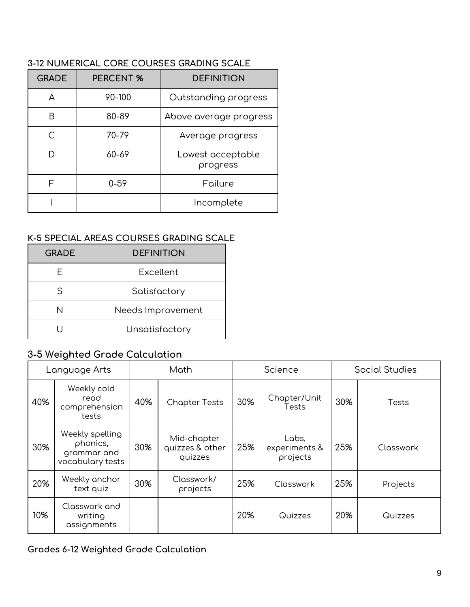| <b>GRADE</b> | <b>PERCENT %</b> | <b>DEFINITION</b>             |
|--------------|------------------|-------------------------------|
| А            | 90-100           | Outstanding progress          |
| R            | 80-89            | Above average progress        |
|              | 70-79            | Average progress              |
|              | 60-69            | Lowest acceptable<br>progress |
| F            | $0 - 59$         | Failure                       |
|              |                  | Incomplete                    |

#### **3-12 NUMERICAL CORE COURSES GRADING SCALE**

#### **K-5 SPECIAL AREAS COURSES GRADING SCALE**

| <b>GRADE</b> | <b>DEFINITION</b> |
|--------------|-------------------|
|              | Excellent         |
| ς            | Satisfactory      |
| N            | Needs Improvement |
|              | Unsatisfactory    |

### **3-5 Weighted Grade Calculation**

|     | Language Arts                                                  | Math<br>Science |                                           | <b>Social Studies</b> |                                    |     |           |
|-----|----------------------------------------------------------------|-----------------|-------------------------------------------|-----------------------|------------------------------------|-----|-----------|
| 40% | Weekly cold<br>read<br>comprehension<br>tests                  | 40%             | <b>Chapter Tests</b>                      | 30%                   | Chapter/Unit<br>Tests              | 30% | Tests     |
| 30% | Weekly spelling<br>phonics,<br>grammar and<br>vocabulary tests | 30%             | Mid-chapter<br>quizzes & other<br>quizzes | 25%                   | Labs,<br>experiments &<br>projects | 25% | Classwork |
| 20% | Weekly anchor<br>text quiz                                     | 30%             | Classwork/<br>projects                    | 25%                   | Classwork                          | 25% | Projects  |
| 10% | Classwork and<br>writing<br>assignments                        |                 |                                           | 20%                   | Quizzes                            | 20% | Quizzes   |

#### **Grades 6-12 Weighted Grade Calculation**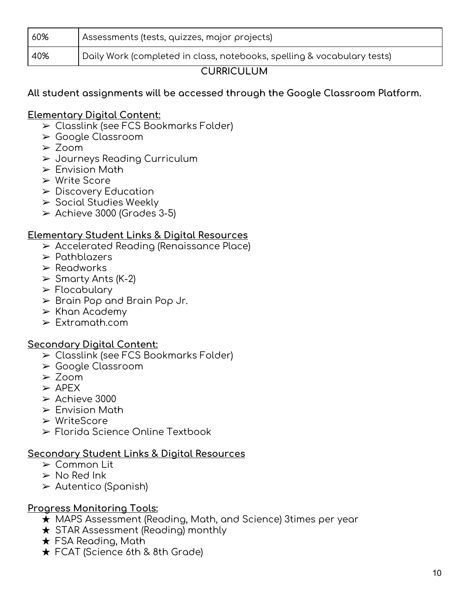| 60% | Assessments (tests, quizzes, major projects)                            |  |
|-----|-------------------------------------------------------------------------|--|
| 40% | Daily Work (completed in class, notebooks, spelling & vocabulary tests) |  |
|     |                                                                         |  |

#### **CURRICULUM**

#### **All student assignments will be accessed through the Google Classroom Platform.**

#### **Elementary Digital Content:**

- ➢ Classlink (see FCS Bookmarks Folder)
- ➢ Google Classroom
- ➢ Zoom
- ➢ Journeys Reading Curriculum
- $\triangleright$  Envision Math
- ➢ Write Score
- ➢ Discovery Education
- ➢ Social Studies Weekly
- $\geq$  Achieve 3000 (Grades 3-5)

#### **Elementary Student Links & Digital Resources**

- ➢ Accelerated Reading (Renaissance Place)
- ➢ Pathblazers
- ➢ Readworks
- $\triangleright$  Smarty Ants (K-2)
- ➢ Flocabulary
- $\triangleright$  Brain Pop and Brain Pop Jr.
- $\triangleright$  Khan Academy
- ➢ Extramath.com

#### **Secondary Digital Content:**

- ➢ Classlink (see FCS Bookmarks Folder)
- ➢ Google Classroom
- ➢ Zoom
- $\triangleright$  APEX
- $\geq$  Achieve 3000
- $\triangleright$  Envision Math
- ➢ WriteScore
- ➢ Florida Science Online Textbook

#### **Secondary Student Links & Digital Resources**

- ➢ Common Lit
- $\triangleright$  No Red Ink
- ➢ Autentico (Spanish)

#### **Progress Monitoring Tools:**

- ★ MAPS Assessment (Reading, Math, and Science) 3times per year
- $\star$  STAR Assessment (Reading) monthly
- $\star$  FSA Reading, Math
- ★ FCAT (Science 6th & 8th Grade)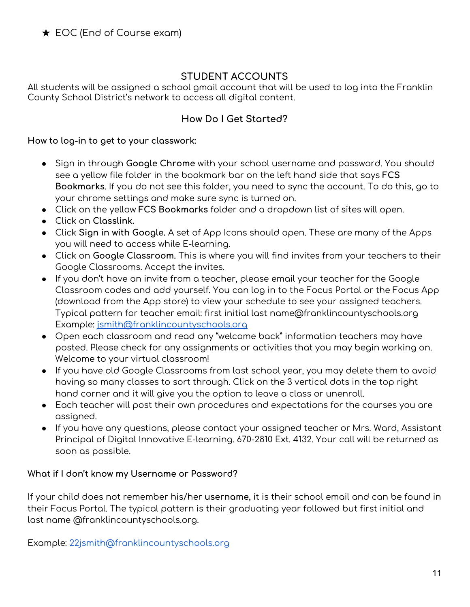#### **STUDENT ACCOUNTS**

All students will be assigned a school gmail account that will be used to log into the Franklin County School District's network to access all digital content.

#### **How Do I Get Started?**

#### **How to log-in to get to your classwork:**

- Sign in through **Google Chrome** with your school username and password. You should see a yellow file folder in the bookmark bar on the left hand side that says **FCS Bookmarks**. If you do not see this folder, you need to sync the account. To do this, go to your chrome settings and make sure sync is turned on.
- Click on the yellow **FCS Bookmarks** folder and a dropdown list of sites will open.
- Click on **Classlink.**
- Click **Sign in with Google.** A set of App Icons should open. These are many of the Apps you will need to access while E-learning.
- Click on **Google Classroom.** This is where you will find invites from your teachers to their Google Classrooms. Accept the invites.
- If you don't have an invite from a teacher, please email your teacher for the Google Classroom codes and add yourself. You can log in to the Focus Portal or the Focus App (download from the App store) to view your schedule to see your assigned teachers. Typical pattern for teacher email: first initial last name@franklincountyschools.org Example: [jsmith@franklincountyschools.org](mailto:jsmith@franklincountyschools.org)
- Open each classroom and read any "welcome back" information teachers may have posted. Please check for any assignments or activities that you may begin working on. Welcome to your virtual classroom!
- If you have old Google Classrooms from last school year, you may delete them to avoid having so many classes to sort through. Click on the 3 vertical dots in the top right hand corner and it will give you the option to leave a class or unenroll.
- Each teacher will post their own procedures and expectations for the courses you are assigned.
- If you have any questions, please contact your assigned teacher or Mrs. Ward, Assistant Principal of Digital Innovative E-learning. 670-2810 Ext. 4132. Your call will be returned as soon as possible.

#### **What if I don't know my Username or Password?**

If your child does not remember his/her **username,** it is their school email and can be found in their Focus Portal. The typical pattern is their graduating year followed but first initial and last name @franklincountyschools.org.

Example: [22jsmith@franklincountyschools.org](mailto:22jsmith@franklincountyschools.org)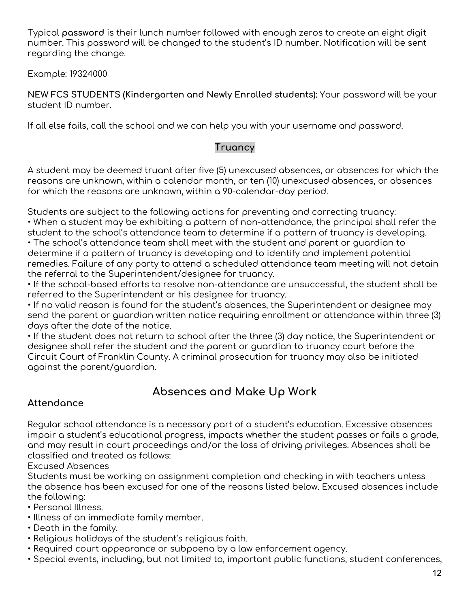Typical **password** is their lunch number followed with enough zeros to create an eight digit number. This password will be changed to the student's ID number. Notification will be sent regarding the change.

Example: 19324000

**NEW FCS STUDENTS (Kindergarten and Newly Enrolled students):** Your password will be your student ID number.

If all else fails, call the school and we can help you with your username and password.

#### **Truancy**

A student may be deemed truant after five (5) unexcused absences, or absences for which the reasons are unknown, within a calendar month, or ten (10) unexcused absences, or absences for which the reasons are unknown, within a 90-calendar-day period.

Students are subject to the following actions for preventing and correcting truancy: • When a student may be exhibiting a pattern of non-attendance, the principal shall refer the student to the school's attendance team to determine if a pattern of truancy is developing.

• The school's attendance team shall meet with the student and parent or guardian to determine if a pattern of truancy is developing and to identify and implement potential remedies. Failure of any party to attend a scheduled attendance team meeting will not detain the referral to the Superintendent/designee for truancy.

• If the school-based efforts to resolve non-attendance are unsuccessful, the student shall be referred to the Superintendent or his designee for truancy.

• If no valid reason is found for the student's absences, the Superintendent or designee may send the parent or guardian written notice requiring enrollment or attendance within three (3) days after the date of the notice.

• If the student does not return to school after the three (3) day notice, the Superintendent or designee shall refer the student and the parent or guardian to truancy court before the Circuit Court of Franklin County. A criminal prosecution for truancy may also be initiated against the parent/guardian.

# **Absences and Make Up Work**

### **Attendance**

Regular school attendance is a necessary part of a student's education. Excessive absences impair a student's educational progress, impacts whether the student passes or fails a grade, and may result in court proceedings and/or the loss of driving privileges. Absences shall be classified and treated as follows:

Excused Absences

Students must be working on assignment completion and checking in with teachers unless the absence has been excused for one of the reasons listed below. Excused absences include the following:

• Personal Illness.

- Illness of an immediate family member.
- Death in the family.
- Religious holidays of the student's religious faith.
- Required court appearance or subpoena by a law enforcement agency.
- Special events, including, but not limited to, important public functions, student conferences,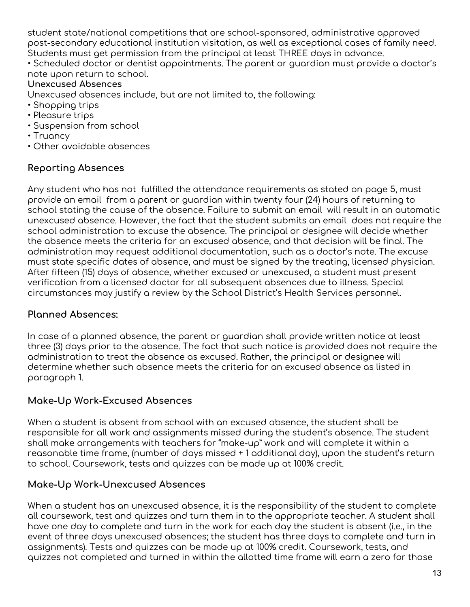student state/national competitions that are school-sponsored, administrative approved post-secondary educational institution visitation, as well as exceptional cases of family need. Students must get permission from the principal at least THREE days in advance. • Scheduled doctor or dentist appointments. The parent or guardian must provide a doctor's

#### note upon return to school.

#### **Unexcused Absences**

Unexcused absences include, but are not limited to, the following:

- Shopping trips
- Pleasure trips
- Suspension from school
- Truancy
- Other avoidable absences

#### **Reporting Absences**

Any student who has not fulfilled the attendance requirements as stated on page 5, must provide an email from a parent or guardian within twenty four (24) hours of returning to school stating the cause of the absence. Failure to submit an email will result in an automatic unexcused absence. However, the fact that the student submits an email does not require the school administration to excuse the absence. The principal or designee will decide whether the absence meets the criteria for an excused absence, and that decision will be final. The administration may request additional documentation, such as a doctor's note. The excuse must state specific dates of absence, and must be signed by the treating, licensed physician. After fifteen (15) days of absence, whether excused or unexcused, a student must present verification from a licensed doctor for all subsequent absences due to illness. Special circumstances may justify a review by the School District's Health Services personnel.

#### **Planned Absences:**

In case of a planned absence, the parent or guardian shall provide written notice at least three (3) days prior to the absence. The fact that such notice is provided does not require the administration to treat the absence as excused. Rather, the principal or designee will determine whether such absence meets the criteria for an excused absence as listed in paragraph 1.

#### **Make-Up Work-Excused Absences**

When a student is absent from school with an excused absence, the student shall be responsible for all work and assignments missed during the student's absence. The student shall make arrangements with teachers for "make-up" work and will complete it within a reasonable time frame, (number of days missed + 1 additional day), upon the student's return to school. Coursework, tests and quizzes can be made up at 100% credit.

#### **Make-Up Work-Unexcused Absences**

When a student has an unexcused absence, it is the responsibility of the student to complete all coursework, test and quizzes and turn them in to the appropriate teacher. A student shall have one day to complete and turn in the work for each day the student is absent (i.e., in the event of three days unexcused absences; the student has three days to complete and turn in assignments). Tests and quizzes can be made up at 100% credit. Coursework, tests, and quizzes not completed and turned in within the allotted time frame will earn a zero for those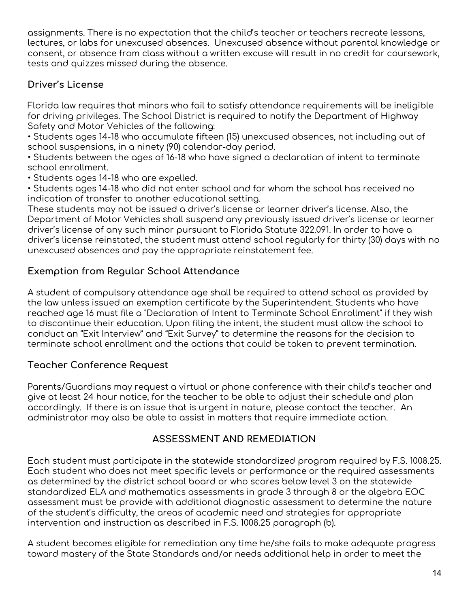assignments. There is no expectation that the child's teacher or teachers recreate lessons, lectures, or labs for unexcused absences. Unexcused absence without parental knowledge or consent, or absence from class without a written excuse will result in no credit for coursework, tests and quizzes missed during the absence.

#### **Driver's License**

Florida law requires that minors who fail to satisfy attendance requirements will be ineligible for driving privileges. The School District is required to notify the Department of Highway Safety and Motor Vehicles of the following:

• Students ages 14-18 who accumulate fifteen (15) unexcused absences, not including out of school suspensions, in a ninety (90) calendar-day period.

• Students between the ages of 16-18 who have signed a declaration of intent to terminate school enrollment.

• Students ages 14-18 who are expelled.

• Students ages 14-18 who did not enter school and for whom the school has received no indication of transfer to another educational setting.

These students may not be issued a driver's license or learner driver's license. Also, the Department of Motor Vehicles shall suspend any previously issued driver's license or learner driver's license of any such minor pursuant to Florida Statute 322.091. In order to have a driver's license reinstated, the student must attend school regularly for thirty (30) days with no unexcused absences and pay the appropriate reinstatement fee.

#### **Exemption from Regular School Attendance**

A student of compulsory attendance age shall be required to attend school as provided by the law unless issued an exemption certificate by the Superintendent. Students who have reached age 16 must file a "Declaration of Intent to Terminate School Enrollment" if they wish to discontinue their education. Upon filing the intent, the student must allow the school to conduct an "Exit Interview" and "Exit Survey" to determine the reasons for the decision to terminate school enrollment and the actions that could be taken to prevent termination.

#### **Teacher Conference Request**

Parents/Guardians may request a virtual or phone conference with their child's teacher and give at least 24 hour notice, for the teacher to be able to adjust their schedule and plan accordingly. If there is an issue that is urgent in nature, please contact the teacher. An administrator may also be able to assist in matters that require immediate action.

### **ASSESSMENT AND REMEDIATION**

Each student must participate in the statewide standardized program required by F.S. 1008.25. Each student who does not meet specific levels or performance or the required assessments as determined by the district school board or who scores below level 3 on the statewide standardized ELA and mathematics assessments in grade 3 through 8 or the algebra EOC assessment must be provide with additional diagnostic assessment to determine the nature of the student's difficulty, the areas of academic need and strategies for appropriate intervention and instruction as described in F.S. 1008.25 paragraph (b).

A student becomes eligible for remediation any time he/she fails to make adequate progress toward mastery of the State Standards and/or needs additional help in order to meet the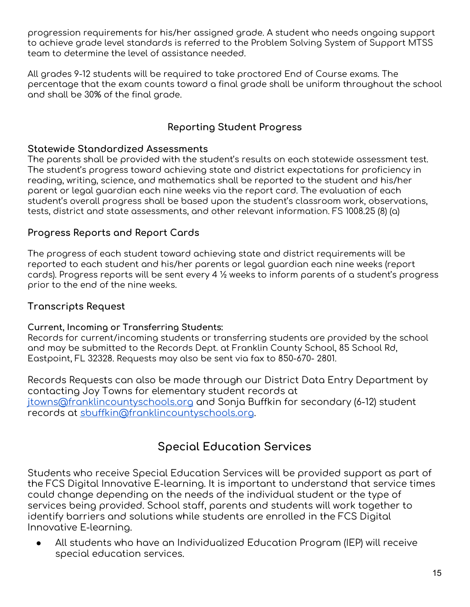progression requirements for his/her assigned grade. A student who needs ongoing support to achieve grade level standards is referred to the Problem Solving System of Support MTSS team to determine the level of assistance needed.

All grades 9-12 students will be required to take proctored End of Course exams. The percentage that the exam counts toward a final grade shall be uniform throughout the school and shall be 30% of the final grade.

#### **Reporting Student Progress**

#### **Statewide Standardized Assessments**

The parents shall be provided with the student's results on each statewide assessment test. The student's progress toward achieving state and district expectations for proficiency in reading, writing, science, and mathematics shall be reported to the student and his/her parent or legal guardian each nine weeks via the report card. The evaluation of each student's overall progress shall be based upon the student's classroom work, observations, tests, district and state assessments, and other relevant information. FS 1008.25 (8) (a)

#### **Progress Reports and Report Cards**

The progress of each student toward achieving state and district requirements will be reported to each student and his/her parents or legal guardian each nine weeks (report cards). Progress reports will be sent every 4 ½ weeks to inform parents of a student's progress prior to the end of the nine weeks.

#### **Transcripts Request**

#### **Current, Incoming or Transferring Students:**

Records for current/incoming students or transferring students are provided by the school and may be submitted to the Records Dept. at Franklin County School, 85 School Rd, Eastpoint, FL 32328. Requests may also be sent via fax to 850‐670‐ 2801.

Records Requests can also be made through our District Data Entry Department by contacting Joy Towns for elementary student records at [jtowns@franklincountyschools.org](mailto:jtowns@franklincountyschools.org) and Sonja Buffkin for secondary (6-12) student records at [sbuffkin@franklincountyschools.org](mailto:sbuffkin@franklincountyschools.org).

# **Special Education Services**

Students who receive Special Education Services will be provided support as part of the FCS Digital Innovative E-learning. It is important to understand that service times could change depending on the needs of the individual student or the type of services being provided. School staff, parents and students will work together to identify barriers and solutions while students are enrolled in the FCS Digital Innovative E-learning.

All students who have an Individualized Education Program (IEP) will receive special education services.